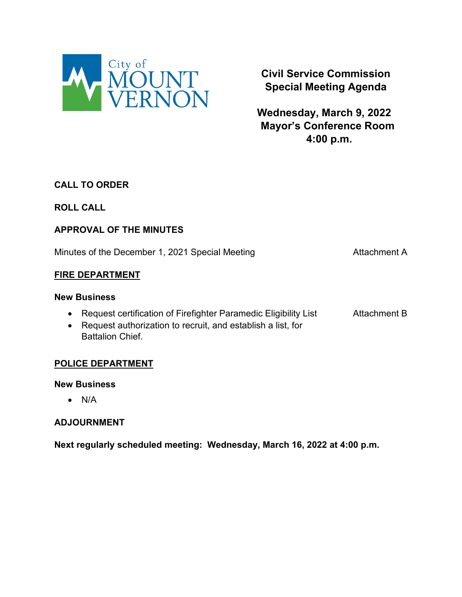

**Civil Service Commission Special Meeting Agenda**

**Wednesday, March 9, 2022 Mayor's Conference Room 4:00 p.m.**

## **CALL TO ORDER**

## **ROLL CALL**

## **APPROVAL OF THE MINUTES**

Minutes of the December 1, 2021 Special Meeting Minutes of the December 1, 2021 Special Meeting

#### **FIRE DEPARTMENT**

#### **New Business**

- Request certification of Firefighter Paramedic Eligibility List Attachment B
- Request authorization to recruit, and establish a list, for Battalion Chief.

## **POLICE DEPARTMENT**

#### **New Business**

• N/A

## **ADJOURNMENT**

**Next regularly scheduled meeting: Wednesday, March 16, 2022 at 4:00 p.m.**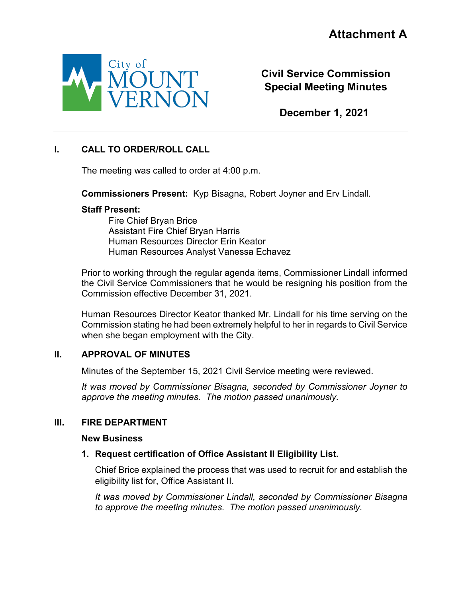

**Civil Service Commission Special Meeting Minutes**

**December 1, 2021**

## **I. CALL TO ORDER/ROLL CALL**

The meeting was called to order at 4:00 p.m.

**Commissioners Present:** Kyp Bisagna, Robert Joyner and Erv Lindall.

#### **Staff Present:**

Fire Chief Bryan Brice Assistant Fire Chief Bryan Harris Human Resources Director Erin Keator Human Resources Analyst Vanessa Echavez

Prior to working through the regular agenda items, Commissioner Lindall informed the Civil Service Commissioners that he would be resigning his position from the Commission effective December 31, 2021.

Human Resources Director Keator thanked Mr. Lindall for his time serving on the Commission stating he had been extremely helpful to her in regards to Civil Service when she began employment with the City.

## **II. APPROVAL OF MINUTES**

Minutes of the September 15, 2021 Civil Service meeting were reviewed.

*It was moved by Commissioner Bisagna, seconded by Commissioner Joyner to approve the meeting minutes. The motion passed unanimously.* 

#### **III. FIRE DEPARTMENT**

#### **New Business**

## **1. Request certification of Office Assistant II Eligibility List.**

Chief Brice explained the process that was used to recruit for and establish the eligibility list for, Office Assistant II.

*It was moved by Commissioner Lindall, seconded by Commissioner Bisagna to approve the meeting minutes. The motion passed unanimously.*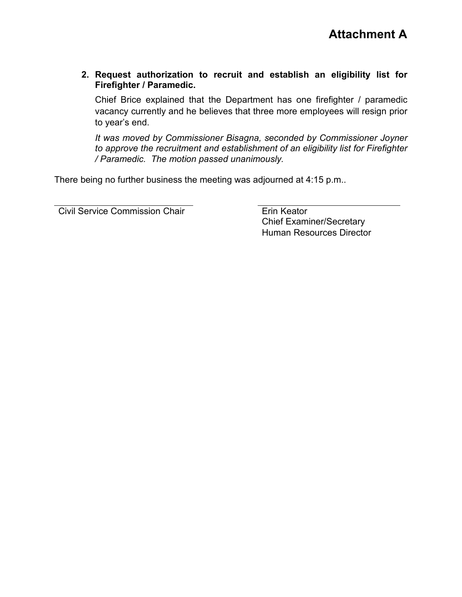**2. Request authorization to recruit and establish an eligibility list for Firefighter / Paramedic.**

Chief Brice explained that the Department has one firefighter / paramedic vacancy currently and he believes that three more employees will resign prior to year's end.

*It was moved by Commissioner Bisagna, seconded by Commissioner Joyner to approve the recruitment and establishment of an eligibility list for Firefighter / Paramedic. The motion passed unanimously.* 

There being no further business the meeting was adjourned at 4:15 p.m..

Civil Service Commission Chair **Erin Keator** 

Chief Examiner/Secretary Human Resources Director